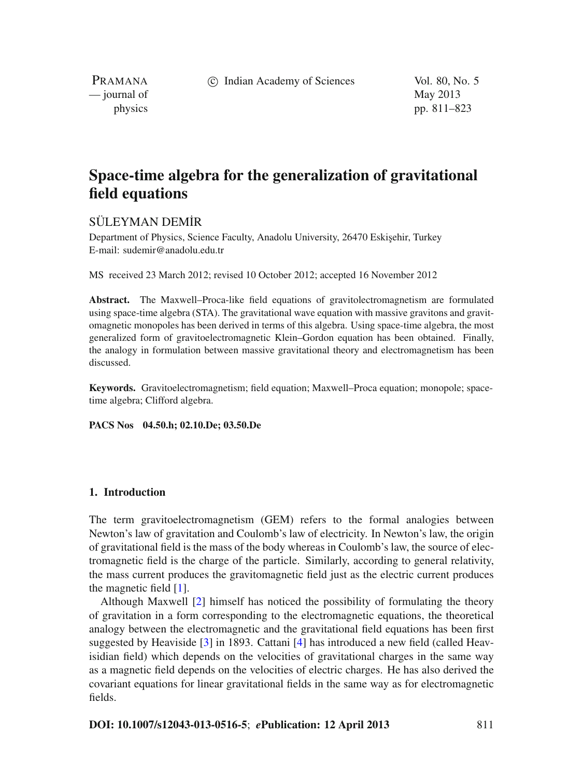c Indian Academy of Sciences Vol. 80, No. 5

PRAMANA — journal of May 2013

physics pp. 811–823

# **Space-time algebra for the generalization of gravitational field equations**

## SÜLEYMAN DEM˙IR

Department of Physics, Science Faculty, Anadolu University, 26470 Eskisehir, Turkey E-mail: sudemir@anadolu.edu.tr

MS received 23 March 2012; revised 10 October 2012; accepted 16 November 2012

**Abstract.** The Maxwell–Proca-like field equations of gravitolectromagnetism are formulated using space-time algebra (STA). The gravitational wave equation with massive gravitons and gravitomagnetic monopoles has been derived in terms of this algebra. Using space-time algebra, the most generalized form of gravitoelectromagnetic Klein–Gordon equation has been obtained. Finally, the analogy in formulation between massive gravitational theory and electromagnetism has been discussed.

**Keywords.** Gravitoelectromagnetism; field equation; Maxwell–Proca equation; monopole; spacetime algebra; Clifford algebra.

**PACS Nos 04.50.h; 02.10.De; 03.50.De**

## **1. Introduction**

The term gravitoelectromagnetism (GEM) refers to the formal analogies between Newton's law of gravitation and Coulomb's law of electricity. In Newton's law, the origin of gravitational field is the mass of the body whereas in Coulomb's law, the source of electromagnetic field is the charge of the particle. Similarly, according to general relativity, the mass current produces the gravitomagnetic field just as the electric current produces the magnetic field [\[1](#page-12-0)].

Although Maxwell [\[2\]](#page-12-1) himself has noticed the possibility of formulating the theory of gravitation in a form corresponding to the electromagnetic equations, the theoretical analogy between the electromagnetic and the gravitational field equations has been first suggested by Heaviside [\[3](#page-12-2)] in 1893. Cattani [\[4\]](#page-12-3) has introduced a new field (called Heavisidian field) which depends on the velocities of gravitational charges in the same way as a magnetic field depends on the velocities of electric charges. He has also derived the covariant equations for linear gravitational fields in the same way as for electromagnetic fields.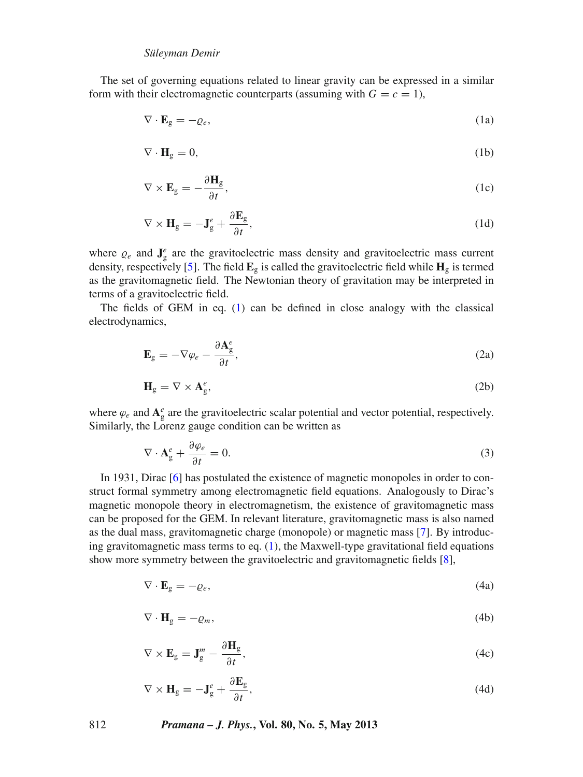The set of governing equations related to linear gravity can be expressed in a similar form with their electromagnetic counterparts (assuming with  $G = c = 1$ ),

<span id="page-1-0"></span>
$$
\nabla \cdot \mathbf{E}_{g} = -\varrho_{e},\tag{1a}
$$

$$
\nabla \cdot \mathbf{H}_{g} = 0,\tag{1b}
$$

$$
\nabla \times \mathbf{E}_{g} = -\frac{\partial \mathbf{H}_{g}}{\partial t},\tag{1c}
$$

$$
\nabla \times \mathbf{H}_{g} = -\mathbf{J}_{g}^{e} + \frac{\partial \mathbf{E}_{g}}{\partial t},
$$
\n(1d)

where  $\varrho_e$  and  $\mathbf{J}_g^e$  are the gravitoelectric mass density and gravitoelectric mass current density, respectively [\[5](#page-12-4)]. The field  $\mathbf{E}_{g}$  is called the gravitoelectric field while  $\mathbf{H}_{g}$  is termed as the gravitomagnetic field. The Newtonian theory of gravitation may be interpreted in terms of a gravitoelectric field.

The fields of GEM in eq. [\(1\)](#page-1-0) can be defined in close analogy with the classical electrodynamics,

<span id="page-1-3"></span>
$$
\mathbf{E}_{\mathbf{g}} = -\nabla \varphi_e - \frac{\partial \mathbf{A}_{\mathbf{g}}^e}{\partial t},\tag{2a}
$$

$$
\mathbf{H}_{g} = \nabla \times \mathbf{A}_{g}^{e},\tag{2b}
$$

where  $\varphi_e$  and  $\mathbf{A}^e_g$  are the gravitoelectric scalar potential and vector potential, respectively. Similarly, the Lorenz gauge condition can be written as

<span id="page-1-2"></span>
$$
\nabla \cdot \mathbf{A}_{g}^{e} + \frac{\partial \varphi_{e}}{\partial t} = 0. \tag{3}
$$

In 1931, Dirac [\[6](#page-12-5)] has postulated the existence of magnetic monopoles in order to construct formal symmetry among electromagnetic field equations. Analogously to Dirac's magnetic monopole theory in electromagnetism, the existence of gravitomagnetic mass can be proposed for the GEM. In relevant literature, gravitomagnetic mass is also named as the dual mass, gravitomagnetic charge (monopole) or magnetic mass [\[7\]](#page-12-6). By introducing gravitomagnetic mass terms to eq. [\(1\)](#page-1-0), the Maxwell-type gravitational field equations show more symmetry between the gravitoelectric and gravitomagnetic fields [\[8](#page-12-7)],

<span id="page-1-1"></span>
$$
\nabla \cdot \mathbf{E}_{g} = -\varrho_{e},\tag{4a}
$$

$$
\nabla \cdot \mathbf{H}_{g} = -\varrho_{m},\tag{4b}
$$

$$
\nabla \times \mathbf{E}_{g} = \mathbf{J}_{g}^{m} - \frac{\partial \mathbf{H}_{g}}{\partial t},
$$
\n(4c)

$$
\nabla \times \mathbf{H}_{g} = -\mathbf{J}_{g}^{e} + \frac{\partial \mathbf{E}_{g}}{\partial t},
$$
\n(4d)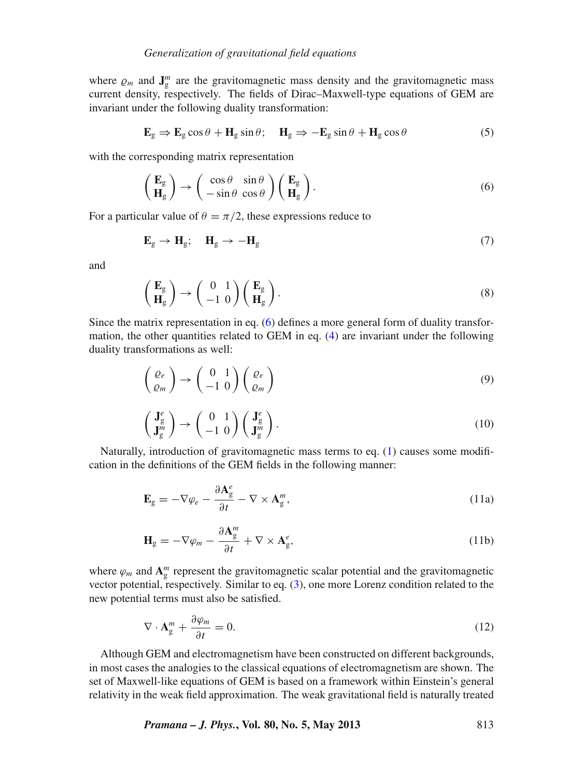where  $\rho_m$  and  $\mathbf{J}_{g}^m$  are the gravitomagnetic mass density and the gravitomagnetic mass current density, respectively. The fields of Dirac–Maxwell-type equations of GEM are invariant under the following duality transformation:

$$
\mathbf{E}_{g} \Rightarrow \mathbf{E}_{g} \cos \theta + \mathbf{H}_{g} \sin \theta; \quad \mathbf{H}_{g} \Rightarrow -\mathbf{E}_{g} \sin \theta + \mathbf{H}_{g} \cos \theta \tag{5}
$$

with the corresponding matrix representation

<span id="page-2-0"></span>
$$
\begin{pmatrix} \mathbf{E}_{g} \\ \mathbf{H}_{g} \end{pmatrix} \rightarrow \begin{pmatrix} \cos \theta & \sin \theta \\ -\sin \theta & \cos \theta \end{pmatrix} \begin{pmatrix} \mathbf{E}_{g} \\ \mathbf{H}_{g} \end{pmatrix}.
$$
 (6)

For a particular value of  $\theta = \pi/2$ , these expressions reduce to

$$
\mathbf{E}_g \to \mathbf{H}_g; \quad \mathbf{H}_g \to -\mathbf{H}_g \tag{7}
$$

and

$$
\begin{pmatrix} \mathbf{E}_{g} \\ \mathbf{H}_{g} \end{pmatrix} \rightarrow \begin{pmatrix} 0 & 1 \\ -1 & 0 \end{pmatrix} \begin{pmatrix} \mathbf{E}_{g} \\ \mathbf{H}_{g} \end{pmatrix}.
$$
\n(8)

Since the matrix representation in eq. [\(6\)](#page-2-0) defines a more general form of duality transformation, the other quantities related to GEM in eq. [\(4\)](#page-1-1) are invariant under the following duality transformations as well:

$$
\begin{pmatrix} \varrho_e \\ \varrho_m \end{pmatrix} \rightarrow \begin{pmatrix} 0 & 1 \\ -1 & 0 \end{pmatrix} \begin{pmatrix} \varrho_e \\ \varrho_m \end{pmatrix}
$$
 (9)

$$
\begin{pmatrix} \mathbf{J}_g^e \\ \mathbf{J}_g^m \end{pmatrix} \rightarrow \begin{pmatrix} 0 & 1 \\ -1 & 0 \end{pmatrix} \begin{pmatrix} \mathbf{J}_g^e \\ \mathbf{J}_g^m \end{pmatrix} . \tag{10}
$$

Naturally, introduction of gravitomagnetic mass terms to eq. [\(1\)](#page-1-0) causes some modification in the definitions of the GEM fields in the following manner:

<span id="page-2-2"></span>
$$
\mathbf{E}_{\mathbf{g}} = -\nabla \varphi_e - \frac{\partial \mathbf{A}_{\mathbf{g}}^e}{\partial t} - \nabla \times \mathbf{A}_{\mathbf{g}}^m,\tag{11a}
$$

$$
\mathbf{H}_{g} = -\nabla \varphi_{m} - \frac{\partial \mathbf{A}_{g}^{m}}{\partial t} + \nabla \times \mathbf{A}_{g}^{e},
$$
\n(11b)

where  $\varphi_m$  and  $\mathbf{A}_{g}^m$  represent the gravitomagnetic scalar potential and the gravitomagnetic vector potential, respectively. Similar to eq. [\(3\)](#page-1-2), one more Lorenz condition related to the new potential terms must also be satisfied.

<span id="page-2-1"></span>
$$
\nabla \cdot \mathbf{A}_{g}^{m} + \frac{\partial \varphi_{m}}{\partial t} = 0. \tag{12}
$$

Although GEM and electromagnetism have been constructed on different backgrounds, in most cases the analogies to the classical equations of electromagnetism are shown. The set of Maxwell-like equations of GEM is based on a framework within Einstein's general relativity in the weak field approximation. The weak gravitational field is naturally treated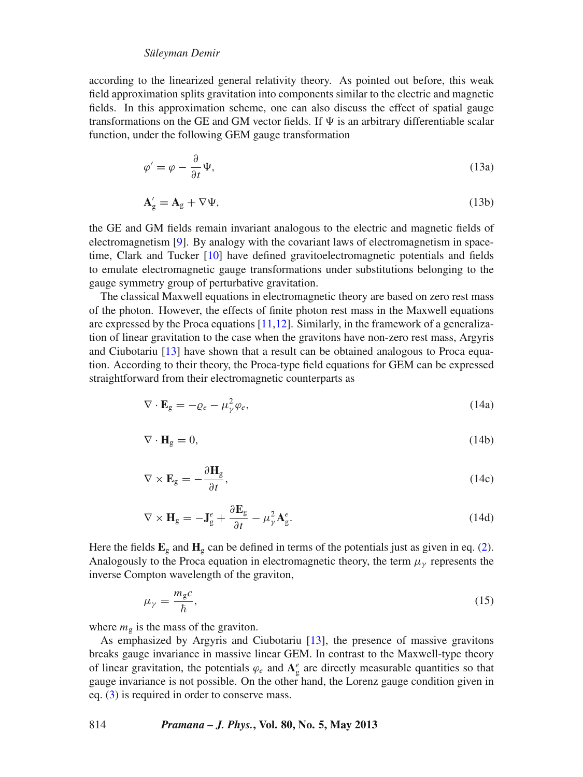according to the linearized general relativity theory. As pointed out before, this weak field approximation splits gravitation into components similar to the electric and magnetic fields. In this approximation scheme, one can also discuss the effect of spatial gauge transformations on the GE and GM vector fields. If  $\Psi$  is an arbitrary differentiable scalar function, under the following GEM gauge transformation

$$
\varphi' = \varphi - \frac{\partial}{\partial t} \Psi,\tag{13a}
$$

$$
\mathbf{A}'_{g} = \mathbf{A}_{g} + \nabla \Psi,\tag{13b}
$$

the GE and GM fields remain invariant analogous to the electric and magnetic fields of electromagnetism [\[9\]](#page-12-8). By analogy with the covariant laws of electromagnetism in spacetime, Clark and Tucker [\[10\]](#page-12-9) have defined gravitoelectromagnetic potentials and fields to emulate electromagnetic gauge transformations under substitutions belonging to the gauge symmetry group of perturbative gravitation.

The classical Maxwell equations in electromagnetic theory are based on zero rest mass of the photon. However, the effects of finite photon rest mass in the Maxwell equations are expressed by the Proca equations  $[11,12]$  $[11,12]$  $[11,12]$ . Similarly, in the framework of a generalization of linear gravitation to the case when the gravitons have non-zero rest mass, Argyris and Ciubotariu [\[13\]](#page-12-12) have shown that a result can be obtained analogous to Proca equation. According to their theory, the Proca-type field equations for GEM can be expressed straightforward from their electromagnetic counterparts as

<span id="page-3-0"></span>
$$
\nabla \cdot \mathbf{E}_{g} = -\varrho_{e} - \mu_{\gamma}^{2} \varphi_{e},\tag{14a}
$$

$$
\nabla \cdot \mathbf{H}_{g} = 0,\tag{14b}
$$

$$
\nabla \times \mathbf{E}_{\mathbf{g}} = -\frac{\partial \mathbf{H}_{\mathbf{g}}}{\partial t},\tag{14c}
$$

$$
\nabla \times \mathbf{H}_{g} = -\mathbf{J}_{g}^{e} + \frac{\partial \mathbf{E}_{g}}{\partial t} - \mu_{\gamma}^{2} \mathbf{A}_{g}^{e}.
$$
 (14d)

Here the fields  $\mathbf{E}_g$  and  $\mathbf{H}_g$  can be defined in terms of the potentials just as given in eq. [\(2\)](#page-1-3). Analogously to the Proca equation in electromagnetic theory, the term  $\mu<sub>\gamma</sub>$  represents the inverse Compton wavelength of the graviton,

$$
\mu_{\gamma} = \frac{m_{g}c}{\hbar},\tag{15}
$$

where  $m<sub>g</sub>$  is the mass of the graviton.

As emphasized by Argyris and Ciubotariu [\[13](#page-12-12)], the presence of massive gravitons breaks gauge invariance in massive linear GEM. In contrast to the Maxwell-type theory of linear gravitation, the potentials  $\varphi_e$  and  $A_g^e$  are directly measurable quantities so that gauge invariance is not possible. On the other hand, the Lorenz gauge condition given in eq. [\(3\)](#page-1-2) is required in order to conserve mass.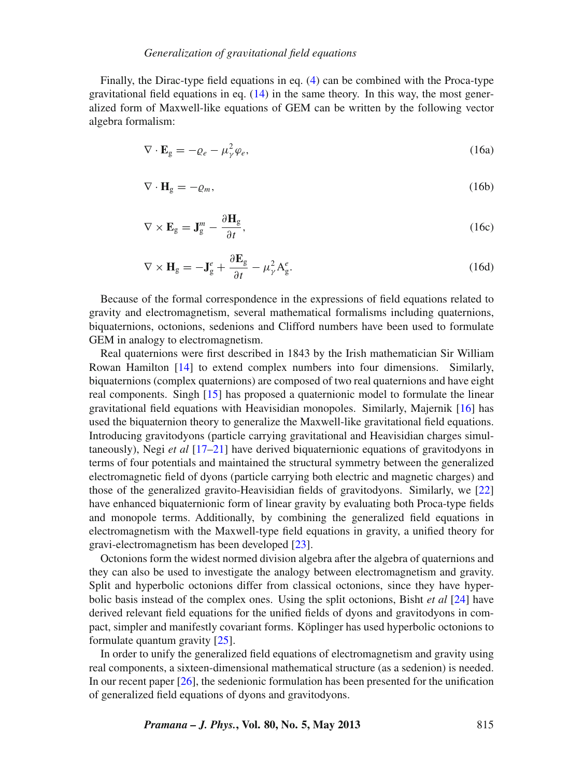#### *Generalization of gra*v*itational field equations*

Finally, the Dirac-type field equations in eq. [\(4\)](#page-1-1) can be combined with the Proca-type gravitational field equations in eq.  $(14)$  in the same theory. In this way, the most generalized form of Maxwell-like equations of GEM can be written by the following vector algebra formalism:

<span id="page-4-0"></span>
$$
\nabla \cdot \mathbf{E}_g = -\varrho_e - \mu_\gamma^2 \varphi_e,\tag{16a}
$$

$$
\nabla \cdot \mathbf{H}_{g} = -\varrho_{m},\tag{16b}
$$

$$
\nabla \times \mathbf{E}_{\mathbf{g}} = \mathbf{J}_{\mathbf{g}}^{m} - \frac{\partial \mathbf{H}_{\mathbf{g}}}{\partial t},
$$
\n(16c)

$$
\nabla \times \mathbf{H}_{g} = -\mathbf{J}_{g}^{e} + \frac{\partial \mathbf{E}_{g}}{\partial t} - \mu_{\gamma}^{2} A_{g}^{e}.
$$
 (16d)

Because of the formal correspondence in the expressions of field equations related to gravity and electromagnetism, several mathematical formalisms including quaternions, biquaternions, octonions, sedenions and Clifford numbers have been used to formulate GEM in analogy to electromagnetism.

Real quaternions were first described in 1843 by the Irish mathematician Sir William Rowan Hamilton [\[14\]](#page-12-13) to extend complex numbers into four dimensions. Similarly, biquaternions (complex quaternions) are composed of two real quaternions and have eight real components. Singh [\[15](#page-12-14)] has proposed a quaternionic model to formulate the linear gravitational field equations with Heavisidian monopoles. Similarly, Majernik [\[16](#page-12-15)] has used the biquaternion theory to generalize the Maxwell-like gravitational field equations. Introducing gravitodyons (particle carrying gravitational and Heavisidian charges simultaneously), Negi *et al* [\[17](#page-12-16)[–21](#page-12-17)] have derived biquaternionic equations of gravitodyons in terms of four potentials and maintained the structural symmetry between the generalized electromagnetic field of dyons (particle carrying both electric and magnetic charges) and those of the generalized gravito-Heavisidian fields of gravitodyons. Similarly, we [\[22\]](#page-12-18) have enhanced biquaternionic form of linear gravity by evaluating both Proca-type fields and monopole terms. Additionally, by combining the generalized field equations in electromagnetism with the Maxwell-type field equations in gravity, a unified theory for gravi-electromagnetism has been developed [\[23](#page-12-19)].

Octonions form the widest normed division algebra after the algebra of quaternions and they can also be used to investigate the analogy between electromagnetism and gravity. Split and hyperbolic octonions differ from classical octonions, since they have hyperbolic basis instead of the complex ones. Using the split octonions, Bisht *et al* [\[24\]](#page-12-20) have derived relevant field equations for the unified fields of dyons and gravitodyons in compact, simpler and manifestly covariant forms. Köplinger has used hyperbolic octonions to formulate quantum gravity [\[25](#page-12-21)].

In order to unify the generalized field equations of electromagnetism and gravity using real components, a sixteen-dimensional mathematical structure (as a sedenion) is needed. In our recent paper [\[26](#page-12-22)], the sedenionic formulation has been presented for the unification of generalized field equations of dyons and gravitodyons.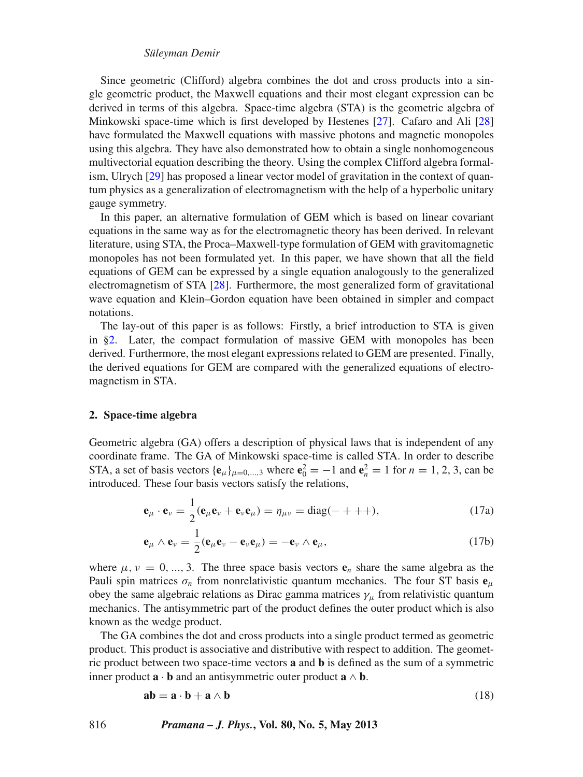Since geometric (Clifford) algebra combines the dot and cross products into a single geometric product, the Maxwell equations and their most elegant expression can be derived in terms of this algebra. Space-time algebra (STA) is the geometric algebra of Minkowski space-time which is first developed by Hestenes [\[27\]](#page-12-23). Cafaro and Ali [\[28\]](#page-12-24) have formulated the Maxwell equations with massive photons and magnetic monopoles using this algebra. They have also demonstrated how to obtain a single nonhomogeneous multivectorial equation describing the theory. Using the complex Clifford algebra formalism, Ulrych [\[29\]](#page-12-25) has proposed a linear vector model of gravitation in the context of quantum physics as a generalization of electromagnetism with the help of a hyperbolic unitary gauge symmetry.

In this paper, an alternative formulation of GEM which is based on linear covariant equations in the same way as for the electromagnetic theory has been derived. In relevant literature, using STA, the Proca–Maxwell-type formulation of GEM with gravitomagnetic monopoles has not been formulated yet. In this paper, we have shown that all the field equations of GEM can be expressed by a single equation analogously to the generalized electromagnetism of STA [\[28\]](#page-12-24). Furthermore, the most generalized form of gravitational wave equation and Klein–Gordon equation have been obtained in simpler and compact notations.

The lay-out of this paper is as follows: Firstly, a brief introduction to STA is given in [§2.](#page-5-0) Later, the compact formulation of massive GEM with monopoles has been derived. Furthermore, the most elegant expressions related to GEM are presented. Finally, the derived equations for GEM are compared with the generalized equations of electromagnetism in STA.

#### <span id="page-5-0"></span>**2. Space-time algebra**

Geometric algebra (GA) offers a description of physical laws that is independent of any coordinate frame. The GA of Minkowski space-time is called STA. In order to describe STA, a set of basis vectors  $\{e_{\mu}\}_{\mu=0,...,3}$  where  $e_0^2 = -1$  and  $e_n^2 = 1$  for  $n = 1, 2, 3$ , can be introduced. These four basis vectors satisfy the relations,

<span id="page-5-1"></span>
$$
\mathbf{e}_{\mu} \cdot \mathbf{e}_{\nu} = \frac{1}{2} (\mathbf{e}_{\mu} \mathbf{e}_{\nu} + \mathbf{e}_{\nu} \mathbf{e}_{\mu}) = \eta_{\mu \nu} = \text{diag}(- + + +), \qquad (17a)
$$

$$
\mathbf{e}_{\mu} \wedge \mathbf{e}_{\nu} = \frac{1}{2} (\mathbf{e}_{\mu} \mathbf{e}_{\nu} - \mathbf{e}_{\nu} \mathbf{e}_{\mu}) = -\mathbf{e}_{\nu} \wedge \mathbf{e}_{\mu}, \qquad (17b)
$$

where  $\mu, \nu = 0, \dots, 3$ . The three space basis vectors  $\mathbf{e}_n$  share the same algebra as the Pauli spin matrices  $\sigma_n$  from nonrelativistic quantum mechanics. The four ST basis  $\mathbf{e}_{\mu}$ obey the same algebraic relations as Dirac gamma matrices  $\gamma_\mu$  from relativistic quantum mechanics. The antisymmetric part of the product defines the outer product which is also known as the wedge product.

The GA combines the dot and cross products into a single product termed as geometric product. This product is associative and distributive with respect to addition. The geometric product between two space-time vectors **a** and **b** is defined as the sum of a symmetric inner product  $\mathbf{a} \cdot \mathbf{b}$  and an antisymmetric outer product  $\mathbf{a} \wedge \mathbf{b}$ .

<span id="page-5-2"></span>
$$
ab = a \cdot b + a \wedge b \tag{18}
$$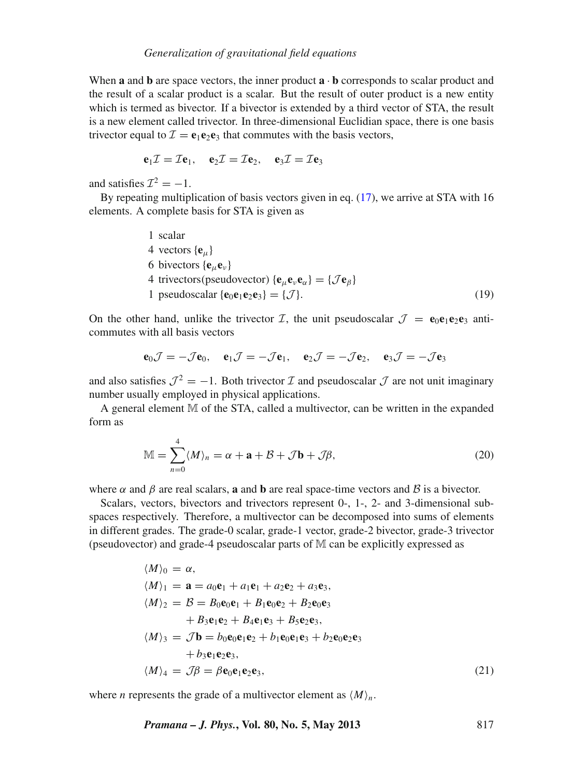When **a** and **b** are space vectors, the inner product  $\mathbf{a} \cdot \mathbf{b}$  corresponds to scalar product and the result of a scalar product is a scalar. But the result of outer product is a new entity which is termed as bivector. If a bivector is extended by a third vector of STA, the result is a new element called trivector. In three-dimensional Euclidian space, there is one basis trivector equal to  $\mathcal{I} = e_1 e_2 e_3$  that commutes with the basis vectors,

$$
\mathbf{e}_1 \mathcal{I} = \mathcal{I} \mathbf{e}_1, \quad \mathbf{e}_2 \mathcal{I} = \mathcal{I} \mathbf{e}_2, \quad \mathbf{e}_3 \mathcal{I} = \mathcal{I} \mathbf{e}_3
$$

and satisfies  $\mathcal{I}^2 = -1$ .

By repeating multiplication of basis vectors given in eq. [\(17\)](#page-5-1), we arrive at STA with 16 elements. A complete basis for STA is given as

1 scalar  
\n4 vectors {
$$
\mathbf{e}_{\mu}
$$
}  
\n6 bivectors { $\mathbf{e}_{\mu} \mathbf{e}_{\nu}$ }  
\n4 trivectors(pseudovector) { $\mathbf{e}_{\mu} \mathbf{e}_{\nu} \mathbf{e}_{\alpha}$ } = { $\mathcal{J} \mathbf{e}_{\beta}$ }  
\n1 pseudoscalar { $\mathbf{e}_{0} \mathbf{e}_{1} \mathbf{e}_{2} \mathbf{e}_{3}$ } = { $\mathcal{J}$ }. (19)

On the other hand, unlike the trivector  $I$ , the unit pseudoscalar  $J = e_0 e_1 e_2 e_3$  anticommutes with all basis vectors

$$
\mathbf{e}_0 \mathcal{J} = -\mathcal{J} \mathbf{e}_0, \quad \mathbf{e}_1 \mathcal{J} = -\mathcal{J} \mathbf{e}_1, \quad \mathbf{e}_2 \mathcal{J} = -\mathcal{J} \mathbf{e}_2, \quad \mathbf{e}_3 \mathcal{J} = -\mathcal{J} \mathbf{e}_3
$$

and also satisfies  $J^2 = -1$ . Both trivector  $I$  and pseudoscalar  $J$  are not unit imaginary number usually employed in physical applications.

A general element M of the STA, called a multivector, can be written in the expanded form as

$$
\mathbb{M} = \sum_{n=0}^{4} \langle M \rangle_n = \alpha + \mathbf{a} + \mathcal{B} + \mathcal{J}\mathbf{b} + \mathcal{J}\beta,
$$
 (20)

where  $\alpha$  and  $\beta$  are real scalars, **a** and **b** are real space-time vectors and  $\beta$  is a bivector.

Scalars, vectors, bivectors and trivectors represent 0-, 1-, 2- and 3-dimensional subspaces respectively. Therefore, a multivector can be decomposed into sums of elements in different grades. The grade-0 scalar, grade-1 vector, grade-2 bivector, grade-3 trivector (pseudovector) and grade-4 pseudoscalar parts of M can be explicitly expressed as

$$
\langle M \rangle_0 = \alpha,
$$
  
\n
$$
\langle M \rangle_1 = \mathbf{a} = a_0 \mathbf{e}_1 + a_1 \mathbf{e}_1 + a_2 \mathbf{e}_2 + a_3 \mathbf{e}_3,
$$
  
\n
$$
\langle M \rangle_2 = \mathcal{B} = B_0 \mathbf{e}_0 \mathbf{e}_1 + B_1 \mathbf{e}_0 \mathbf{e}_2 + B_2 \mathbf{e}_0 \mathbf{e}_3
$$
  
\n
$$
+ B_3 \mathbf{e}_1 \mathbf{e}_2 + B_4 \mathbf{e}_1 \mathbf{e}_3 + B_5 \mathbf{e}_2 \mathbf{e}_3,
$$
  
\n
$$
\langle M \rangle_3 = \mathcal{J} \mathbf{b} = b_0 \mathbf{e}_0 \mathbf{e}_1 \mathbf{e}_2 + b_1 \mathbf{e}_0 \mathbf{e}_1 \mathbf{e}_3 + b_2 \mathbf{e}_0 \mathbf{e}_2 \mathbf{e}_3
$$
  
\n
$$
+ b_3 \mathbf{e}_1 \mathbf{e}_2 \mathbf{e}_3,
$$
  
\n
$$
\langle M \rangle_4 = \mathcal{J} \beta = \beta \mathbf{e}_0 \mathbf{e}_1 \mathbf{e}_2 \mathbf{e}_3,
$$
  
\n(21)

where *n* represents the grade of a multivector element as  $\langle M \rangle_n$ .

*Pramana – J. Phys.***, Vol. 80, No. 5, May 2013** 817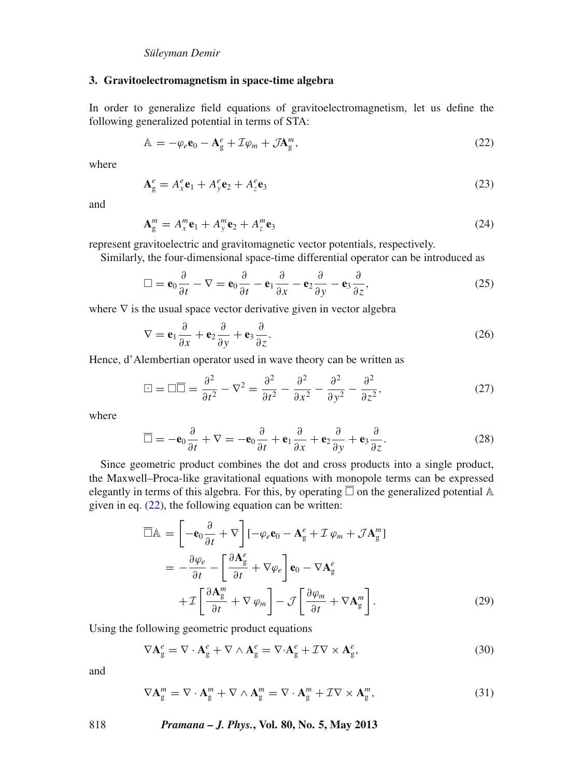## **3. Gravitoelectromagnetism in space-time algebra**

In order to generalize field equations of gravitoelectromagnetism, let us define the following generalized potential in terms of STA:

<span id="page-7-0"></span>
$$
\mathbb{A} = -\varphi_e \mathbf{e}_0 - \mathbf{A}_g^e + \mathcal{I}\varphi_m + \mathcal{J}\mathbf{A}_g^m, \tag{22}
$$

where

$$
\mathbf{A}_{\mathbf{g}}^e = A_x^e \mathbf{e}_1 + A_y^e \mathbf{e}_2 + A_z^e \mathbf{e}_3 \tag{23}
$$

and

$$
\mathbf{A}_{\mathrm{g}}^{m} = A_{x}^{m} \mathbf{e}_{1} + A_{y}^{m} \mathbf{e}_{2} + A_{z}^{m} \mathbf{e}_{3}
$$
 (24)

represent gravitoelectric and gravitomagnetic vector potentials, respectively.

Similarly, the four-dimensional space-time differential operator can be introduced as

$$
\Box = \mathbf{e}_0 \frac{\partial}{\partial t} - \nabla = \mathbf{e}_0 \frac{\partial}{\partial t} - \mathbf{e}_1 \frac{\partial}{\partial x} - \mathbf{e}_2 \frac{\partial}{\partial y} - \mathbf{e}_3 \frac{\partial}{\partial z},
$$
(25)

where  $\nabla$  is the usual space vector derivative given in vector algebra

$$
\nabla = \mathbf{e}_1 \frac{\partial}{\partial x} + \mathbf{e}_2 \frac{\partial}{\partial y} + \mathbf{e}_3 \frac{\partial}{\partial z}.
$$
 (26)

Hence, d'Alembertian operator used in wave theory can be written as

$$
\Box = \Box \overline{\Box} = \frac{\partial^2}{\partial t^2} - \nabla^2 = \frac{\partial^2}{\partial t^2} - \frac{\partial^2}{\partial x^2} - \frac{\partial^2}{\partial y^2} - \frac{\partial^2}{\partial z^2},\tag{27}
$$

where

$$
\overline{\Box} = -\mathbf{e}_0 \frac{\partial}{\partial t} + \nabla = -\mathbf{e}_0 \frac{\partial}{\partial t} + \mathbf{e}_1 \frac{\partial}{\partial x} + \mathbf{e}_2 \frac{\partial}{\partial y} + \mathbf{e}_3 \frac{\partial}{\partial z}.
$$
 (28)

Since geometric product combines the dot and cross products into a single product, the Maxwell–Proca-like gravitational equations with monopole terms can be expressed elegantly in terms of this algebra. For this, by operating  $\overline{\Box}$  on the generalized potential A given in eq.  $(22)$ , the following equation can be written:

<span id="page-7-1"></span>
$$
\overline{\Box}\mathbb{A} = \left[ -\mathbf{e}_0 \frac{\partial}{\partial t} + \nabla \right] \left[ -\varphi_e \mathbf{e}_0 - \mathbf{A}_g^e + \mathcal{I} \varphi_m + \mathcal{J} \mathbf{A}_g^m \right]
$$

$$
= -\frac{\partial \varphi_e}{\partial t} - \left[ \frac{\partial \mathbf{A}_g^e}{\partial t} + \nabla \varphi_e \right] \mathbf{e}_0 - \nabla \mathbf{A}_g^e
$$

$$
+ \mathcal{I} \left[ \frac{\partial \mathbf{A}_g^m}{\partial t} + \nabla \varphi_m \right] - \mathcal{J} \left[ \frac{\partial \varphi_m}{\partial t} + \nabla \mathbf{A}_g^m \right]. \tag{29}
$$

Using the following geometric product equations

$$
\nabla \mathbf{A}_{g}^{e} = \nabla \cdot \mathbf{A}_{g}^{e} + \nabla \wedge \mathbf{A}_{g}^{e} = \nabla \cdot \mathbf{A}_{g}^{e} + \mathcal{I} \nabla \times \mathbf{A}_{g}^{e},\tag{30}
$$

and

$$
\nabla \mathbf{A}_{g}^{m} = \nabla \cdot \mathbf{A}_{g}^{m} + \nabla \wedge \mathbf{A}_{g}^{m} = \nabla \cdot \mathbf{A}_{g}^{m} + \mathcal{I} \nabla \times \mathbf{A}_{g}^{m}, \tag{31}
$$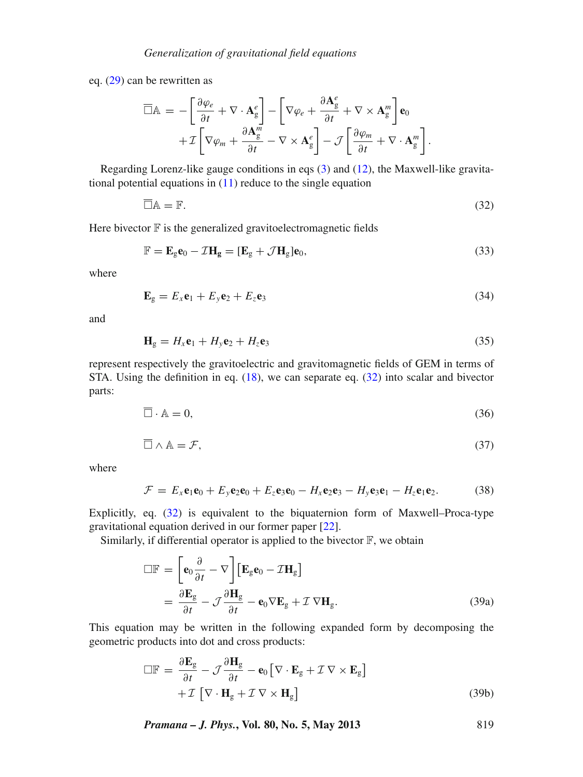eq. [\(29\)](#page-7-1) can be rewritten as

<span id="page-8-0"></span>
$$
\overline{\Box}\mathbb{A} = -\left[\frac{\partial \varphi_e}{\partial t} + \nabla \cdot \mathbf{A}^e_g\right] - \left[\nabla \varphi_e + \frac{\partial \mathbf{A}^e_g}{\partial t} + \nabla \times \mathbf{A}^m_g\right] \mathbf{e}_0
$$
  
+  $\mathcal{I}\left[\nabla \varphi_m + \frac{\partial \mathbf{A}^m_g}{\partial t} - \nabla \times \mathbf{A}^e_g\right] - \mathcal{J}\left[\frac{\partial \varphi_m}{\partial t} + \nabla \cdot \mathbf{A}^m_g\right].$ 

Regarding Lorenz-like gauge conditions in eqs [\(3\)](#page-1-2) and [\(12\)](#page-2-1), the Maxwell-like gravitational potential equations in  $(11)$  reduce to the single equation

$$
\overline{\Box}\mathbb{A} = \mathbb{F}.\tag{32}
$$

Here bivector  $\mathbb F$  is the generalized gravitoelectromagnetic fields

$$
\mathbb{F} = \mathbf{E}_{g}\mathbf{e}_{0} - \mathcal{I}\mathbf{H}_{g} = [\mathbf{E}_{g} + \mathcal{J}\mathbf{H}_{g}]\mathbf{e}_{0},\tag{33}
$$

where

$$
\mathbf{E}_g = E_x \mathbf{e}_1 + E_y \mathbf{e}_2 + E_z \mathbf{e}_3 \tag{34}
$$

and

$$
\mathbf{H}_{g} = H_{x}\mathbf{e}_{1} + H_{y}\mathbf{e}_{2} + H_{z}\mathbf{e}_{3}
$$
 (35)

represent respectively the gravitoelectric and gravitomagnetic fields of GEM in terms of STA. Using the definition in eq. [\(18\)](#page-5-2), we can separate eq. [\(32\)](#page-8-0) into scalar and bivector parts:

$$
\overline{\Box} \cdot \mathbb{A} = 0,\tag{36}
$$

$$
\overline{\Box} \wedge \mathbb{A} = \mathcal{F},\tag{37}
$$

where

$$
\mathcal{F} = E_x \mathbf{e}_1 \mathbf{e}_0 + E_y \mathbf{e}_2 \mathbf{e}_0 + E_z \mathbf{e}_3 \mathbf{e}_0 - H_x \mathbf{e}_2 \mathbf{e}_3 - H_y \mathbf{e}_3 \mathbf{e}_1 - H_z \mathbf{e}_1 \mathbf{e}_2.
$$
 (38)

Explicitly, eq. [\(32\)](#page-8-0) is equivalent to the biquaternion form of Maxwell–Proca-type gravitational equation derived in our former paper [\[22\]](#page-12-18).

Similarly, if differential operator is applied to the bivector  $\mathbb{F}$ , we obtain

$$
\Box \mathbb{F} = \left[ \mathbf{e}_0 \frac{\partial}{\partial t} - \nabla \right] \left[ \mathbf{E}_g \mathbf{e}_0 - \mathcal{I} \mathbf{H}_g \right]
$$

$$
= \frac{\partial \mathbf{E}_g}{\partial t} - \mathcal{J} \frac{\partial \mathbf{H}_g}{\partial t} - \mathbf{e}_0 \nabla \mathbf{E}_g + \mathcal{I} \nabla \mathbf{H}_g.
$$
(39a)

This equation may be written in the following expanded form by decomposing the geometric products into dot and cross products:

$$
\Box \mathbb{F} = \frac{\partial \mathbf{E}_{g}}{\partial t} - \mathcal{J} \frac{\partial \mathbf{H}_{g}}{\partial t} - \mathbf{e}_{0} \left[ \nabla \cdot \mathbf{E}_{g} + \mathcal{I} \nabla \times \mathbf{E}_{g} \right] + \mathcal{I} \left[ \nabla \cdot \mathbf{H}_{g} + \mathcal{I} \nabla \times \mathbf{H}_{g} \right]
$$
(39b)

*Pramana – J. Phys.***, Vol. 80, No. 5, May 2013** 819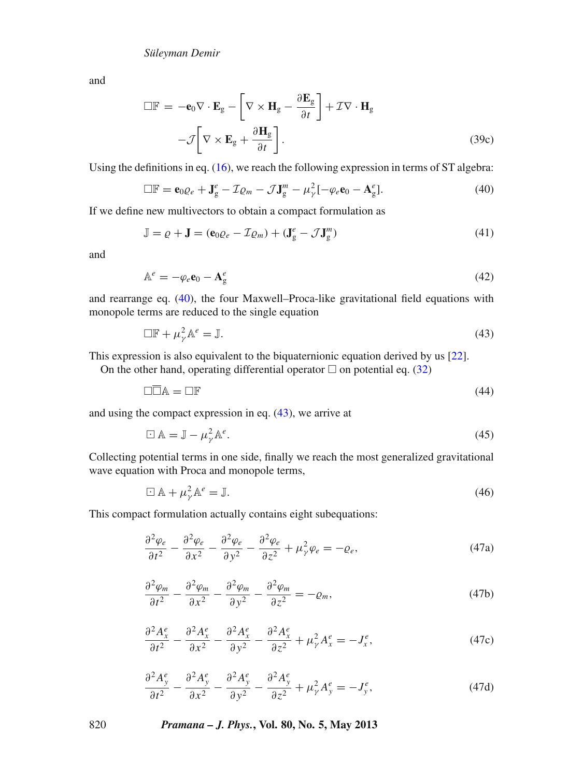and

$$
\Box \mathbf{F} = -\mathbf{e}_0 \nabla \cdot \mathbf{E}_g - \left[ \nabla \times \mathbf{H}_g - \frac{\partial \mathbf{E}_g}{\partial t} \right] + \mathcal{I} \nabla \cdot \mathbf{H}_g
$$

$$
-\mathcal{J} \left[ \nabla \times \mathbf{E}_g + \frac{\partial \mathbf{H}_g}{\partial t} \right].
$$
(39c)

Using the definitions in eq. [\(16\)](#page-4-0), we reach the following expression in terms of ST algebra:

<span id="page-9-0"></span>
$$
\Box \mathbb{F} = \mathbf{e}_0 \varrho_e + \mathbf{J}_g^e - \mathcal{I} \varrho_m - \mathcal{J} \mathbf{J}_g^m - \mu_\gamma^2 [-\varphi_e \mathbf{e}_0 - \mathbf{A}_g^e]. \tag{40}
$$

If we define new multivectors to obtain a compact formulation as

$$
\mathbb{J} = \varrho + \mathbf{J} = (\mathbf{e}_0 \varrho_e - \mathcal{I} \varrho_m) + (\mathbf{J}_g^e - \mathcal{J} \mathbf{J}_g^m)
$$
(41)

and

$$
\mathbb{A}^e = -\varphi_e \mathbf{e}_0 - \mathbf{A}^e_g \tag{42}
$$

and rearrange eq. [\(40\)](#page-9-0), the four Maxwell–Proca-like gravitational field equations with monopole terms are reduced to the single equation

<span id="page-9-1"></span>
$$
\Box \mathbb{F} + \mu_{\gamma}^2 \mathbb{A}^e = \mathbb{J}.
$$
 (43)

This expression is also equivalent to the biquaternionic equation derived by us [\[22](#page-12-18)].

On the other hand, operating differential operator  $\Box$  on potential eq. [\(32\)](#page-8-0)

$$
\Box \overline{\Box} A = \Box F \tag{44}
$$

and using the compact expression in eq. [\(43\)](#page-9-1), we arrive at

$$
\Box \mathbb{A} = \mathbb{J} - \mu_{\gamma}^2 \mathbb{A}^e. \tag{45}
$$

Collecting potential terms in one side, finally we reach the most generalized gravitational wave equation with Proca and monopole terms,

<span id="page-9-2"></span>
$$
\Box \mathbb{A} + \mu_{\gamma}^2 \mathbb{A}^e = \mathbb{J}.
$$
 (46)

This compact formulation actually contains eight subequations:

$$
\frac{\partial^2 \varphi_e}{\partial t^2} - \frac{\partial^2 \varphi_e}{\partial x^2} - \frac{\partial^2 \varphi_e}{\partial y^2} - \frac{\partial^2 \varphi_e}{\partial z^2} + \mu_\gamma^2 \varphi_e = -\varrho_e,\tag{47a}
$$

$$
\frac{\partial^2 \varphi_m}{\partial t^2} - \frac{\partial^2 \varphi_m}{\partial x^2} - \frac{\partial^2 \varphi_m}{\partial y^2} - \frac{\partial^2 \varphi_m}{\partial z^2} = -\varrho_m,\tag{47b}
$$

$$
\frac{\partial^2 A_x^e}{\partial t^2} - \frac{\partial^2 A_x^e}{\partial x^2} - \frac{\partial^2 A_x^e}{\partial y^2} - \frac{\partial^2 A_x^e}{\partial z^2} + \mu_\gamma^2 A_x^e = -J_x^e,\tag{47c}
$$

$$
\frac{\partial^2 A_y^e}{\partial t^2} - \frac{\partial^2 A_y^e}{\partial x^2} - \frac{\partial^2 A_y^e}{\partial y^2} - \frac{\partial^2 A_y^e}{\partial z^2} + \mu_\gamma^2 A_y^e = -J_y^e,\tag{47d}
$$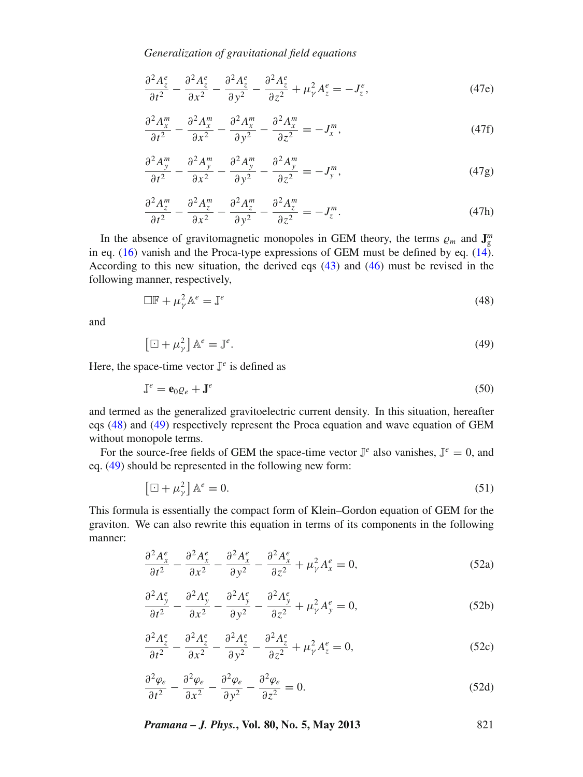*Generalization of gra*v*itational field equations*

$$
\frac{\partial^2 A_z^e}{\partial t^2} - \frac{\partial^2 A_z^e}{\partial x^2} - \frac{\partial^2 A_z^e}{\partial y^2} - \frac{\partial^2 A_z^e}{\partial z^2} + \mu_\gamma^2 A_z^e = -J_z^e,\tag{47e}
$$

$$
\frac{\partial^2 A_x^m}{\partial t^2} - \frac{\partial^2 A_x^m}{\partial x^2} - \frac{\partial^2 A_x^m}{\partial y^2} - \frac{\partial^2 A_x^m}{\partial z^2} = -J_x^m,\tag{47f}
$$

$$
\frac{\partial^2 A_y^m}{\partial t^2} - \frac{\partial^2 A_y^m}{\partial x^2} - \frac{\partial^2 A_y^m}{\partial y^2} - \frac{\partial^2 A_y^m}{\partial z^2} = -J_y^m,
$$
\n(47g)

$$
\frac{\partial^2 A_z^m}{\partial t^2} - \frac{\partial^2 A_z^m}{\partial x^2} - \frac{\partial^2 A_z^m}{\partial y^2} - \frac{\partial^2 A_z^m}{\partial z^2} = -J_z^m.
$$
 (47h)

In the absence of gravitomagnetic monopoles in GEM theory, the terms  $\varrho_m$  and  $\mathbf{J}_{\text{g}}^m$ in eq.  $(16)$  vanish and the Proca-type expressions of GEM must be defined by eq.  $(14)$ . According to this new situation, the derived eqs [\(43\)](#page-9-1) and [\(46\)](#page-9-2) must be revised in the following manner, respectively,

<span id="page-10-0"></span>
$$
\Box \mathbb{F} + \mu_\gamma^2 \mathbb{A}^e = \mathbb{J}^e \tag{48}
$$

and

<span id="page-10-1"></span>
$$
\left[\Box + \mu_{\gamma}^{2}\right] \mathbb{A}^{e} = \mathbb{J}^{e}.\tag{49}
$$

Here, the space-time vector  $\mathbb{J}^e$  is defined as

$$
\mathbb{J}^e = \mathbf{e}_0 \varrho_e + \mathbf{J}^e \tag{50}
$$

and termed as the generalized gravitoelectric current density. In this situation, hereafter eqs [\(48\)](#page-10-0) and [\(49\)](#page-10-1) respectively represent the Proca equation and wave equation of GEM without monopole terms.

For the source-free fields of GEM the space-time vector  $\mathbb{J}^e$  also vanishes,  $\mathbb{J}^e = 0$ , and eq. [\(49\)](#page-10-1) should be represented in the following new form:

$$
\left[\Box + \mu_{\gamma}^{2}\right] \mathbb{A}^{e} = 0. \tag{51}
$$

This formula is essentially the compact form of Klein–Gordon equation of GEM for the graviton. We can also rewrite this equation in terms of its components in the following manner:

$$
\frac{\partial^2 A_x^e}{\partial t^2} - \frac{\partial^2 A_x^e}{\partial x^2} - \frac{\partial^2 A_x^e}{\partial y^2} - \frac{\partial^2 A_x^e}{\partial z^2} + \mu_\gamma^2 A_x^e = 0,\tag{52a}
$$

$$
\frac{\partial^2 A_y^e}{\partial t^2} - \frac{\partial^2 A_y^e}{\partial x^2} - \frac{\partial^2 A_y^e}{\partial y^2} - \frac{\partial^2 A_y^e}{\partial z^2} + \mu_\gamma^2 A_y^e = 0,\tag{52b}
$$

$$
\frac{\partial^2 A_z^e}{\partial t^2} - \frac{\partial^2 A_z^e}{\partial x^2} - \frac{\partial^2 A_z^e}{\partial y^2} - \frac{\partial^2 A_z^e}{\partial z^2} + \mu_\gamma^2 A_z^e = 0, \tag{52c}
$$

$$
\frac{\partial^2 \varphi_e}{\partial t^2} - \frac{\partial^2 \varphi_e}{\partial x^2} - \frac{\partial^2 \varphi_e}{\partial y^2} - \frac{\partial^2 \varphi_e}{\partial z^2} = 0.
$$
 (52d)

*Pramana – J. Phys.***, Vol. 80, No. 5, May 2013** 821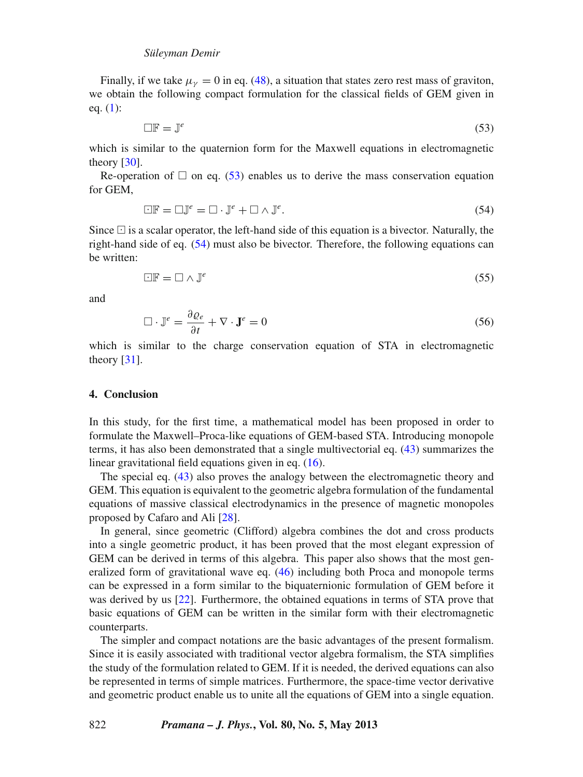Finally, if we take  $\mu_{\nu} = 0$  in eq. [\(48\)](#page-10-0), a situation that states zero rest mass of graviton, we obtain the following compact formulation for the classical fields of GEM given in eq.  $(1)$ :

<span id="page-11-0"></span>
$$
\Box \mathbb{F} = \mathbb{J}^e \tag{53}
$$

which is similar to the quaternion form for the Maxwell equations in electromagnetic theory [\[30](#page-12-26)].

Re-operation of  $\Box$  on eq. [\(53\)](#page-11-0) enables us to derive the mass conservation equation for GEM,

<span id="page-11-1"></span>
$$
\Box \mathbb{F} = \Box \mathbb{J}^e = \Box \cdot \mathbb{J}^e + \Box \wedge \mathbb{J}^e. \tag{54}
$$

Since  $\Box$  is a scalar operator, the left-hand side of this equation is a bivector. Naturally, the right-hand side of eq. [\(54\)](#page-11-1) must also be bivector. Therefore, the following equations can be written:

$$
\Box \mathbb{F} = \Box \wedge \mathbb{J}^e \tag{55}
$$

and

$$
\Box \cdot \mathbb{J}^e = \frac{\partial \varrho_e}{\partial t} + \nabla \cdot \mathbf{J}^e = 0 \tag{56}
$$

which is similar to the charge conservation equation of STA in electromagnetic theory  $[31]$  $[31]$ .

#### **4. Conclusion**

In this study, for the first time, a mathematical model has been proposed in order to formulate the Maxwell–Proca-like equations of GEM-based STA. Introducing monopole terms, it has also been demonstrated that a single multivectorial eq. [\(43\)](#page-9-1) summarizes the linear gravitational field equations given in eq. [\(16\)](#page-4-0).

The special eq. [\(43\)](#page-9-1) also proves the analogy between the electromagnetic theory and GEM. This equation is equivalent to the geometric algebra formulation of the fundamental equations of massive classical electrodynamics in the presence of magnetic monopoles proposed by Cafaro and Ali [\[28](#page-12-24)].

In general, since geometric (Clifford) algebra combines the dot and cross products into a single geometric product, it has been proved that the most elegant expression of GEM can be derived in terms of this algebra. This paper also shows that the most generalized form of gravitational wave eq. [\(46\)](#page-9-2) including both Proca and monopole terms can be expressed in a form similar to the biquaternionic formulation of GEM before it was derived by us [\[22](#page-12-18)]. Furthermore, the obtained equations in terms of STA prove that basic equations of GEM can be written in the similar form with their electromagnetic counterparts.

The simpler and compact notations are the basic advantages of the present formalism. Since it is easily associated with traditional vector algebra formalism, the STA simplifies the study of the formulation related to GEM. If it is needed, the derived equations can also be represented in terms of simple matrices. Furthermore, the space-time vector derivative and geometric product enable us to unite all the equations of GEM into a single equation.